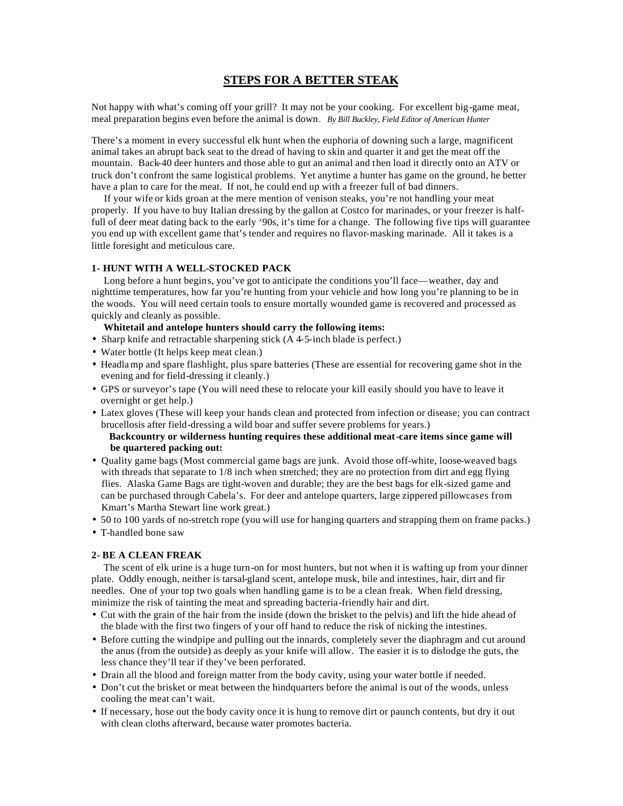## **STEPS FOR A BETTER STEAK**

Not happy with what's coming off your grill? It may not be your cooking. For excellent big-game meat, meal preparation begins even before the animal is down*. By Bill Buckley, Field Editor of American Hunter*

There's a moment in every successful elk hunt when the euphoria of downing such a large, magnificent animal takes an abrupt back seat to the dread of having to skin and quarter it and get the meat off the mountain. Back-40 deer hunters and those able to gut an animal and then load it directly onto an ATV or truck don't confront the same logistical problems. Yet anytime a hunter has game on the ground, he better have a plan to care for the meat. If not, he could end up with a freezer full of bad dinners.

 If your wife or kids groan at the mere mention of venison steaks, you're not handling your meat properly. If you have to buy Italian dressing by the gallon at Costco for marinades, or your freezer is halffull of deer meat dating back to the early '90s, it's time for a change. The following five tips will guarantee you end up with excellent game that's tender and requires no flavor-masking marinade. All it takes is a little foresight and meticulous care.

### **1- HUNT WITH A WELL-STOCKED PACK**

 Long before a hunt begins, you've got to anticipate the conditions you'll face—weather, day and nighttime temperatures, how far you're hunting from your vehicle and how long you're planning to be in the woods. You will need certain tools to ensure mortally wounded game is recovered and processed as quickly and cleanly as possible.

#### **Whitetail and antelope hunters should carry the following items:**

- **·** Sharp knife and retractable sharpening stick (A 4-5-inch blade is perfect.)
- Water bottle (It helps keep meat clean.)
- Headla mp and spare flashlight, plus spare batteries (These are essential for recovering game shot in the evening and for field-dressing it cleanly.)
- GPS or surveyor's tape (You will need these to relocate your kill easily should you have to leave it overnight or get help.)
- Latex gloves (These will keep your hands clean and protected from infection or disease; you can contract brucellosis after field-dressing a wild boar and suffer severe problems for years.)  **Backcountry or wilderness hunting requires these additional meat-care items since game will**

# **be quartered packing out:**

- **·** Quality game bags (Most commercial game bags are junk. Avoid those off-white, loose-weaved bags with threads that separate to  $1/8$  inch when stretched; they are no protection from dirt and egg flying flies. Alaska Game Bags are tight-woven and durable; they are the best bags for elk-sized game and can be purchased through Cabela's. For deer and antelope quarters, large zippered pillowcases from Kmart's Martha Stewart line work great.)
- 50 to 100 yards of no-stretch rope (you will use for hanging quarters and strapping them on frame packs.)
- T-handled bone saw

#### **2- BE A CLEAN FREAK**

The scent of elk urine is a huge turn-on for most hunters, but not when it is wafting up from your dinner plate. Oddly enough, neither is tarsal-gland scent, antelope musk, bile and intestines, hair, dirt and fir needles. One of your top two goals when handling game is to be a clean freak. When field dressing, minimize the risk of tainting the meat and spreading bacteria-friendly hair and dirt.

- Cut with the grain of the hair from the inside (down the brisket to the pelvis) and lift the hide ahead of the blade with the first two fingers of your off hand to reduce the risk of nicking the intestines.
- Before cutting the windpipe and pulling out the innards, completely sever the diaphragm and cut around the anus (from the outside) as deeply as your knife will allow. The easier it is to dislodge the guts, the less chance they'll tear if they've been perforated.
- Drain all the blood and foreign matter from the body cavity, using your water bottle if needed.
- Don't cut the brisket or meat between the hindquarters before the animal is out of the woods, unless cooling the meat can't wait.
- If necessary, hose out the body cavity once it is hung to remove dirt or paunch contents, but dry it out with clean cloths afterward, because water promotes bacteria.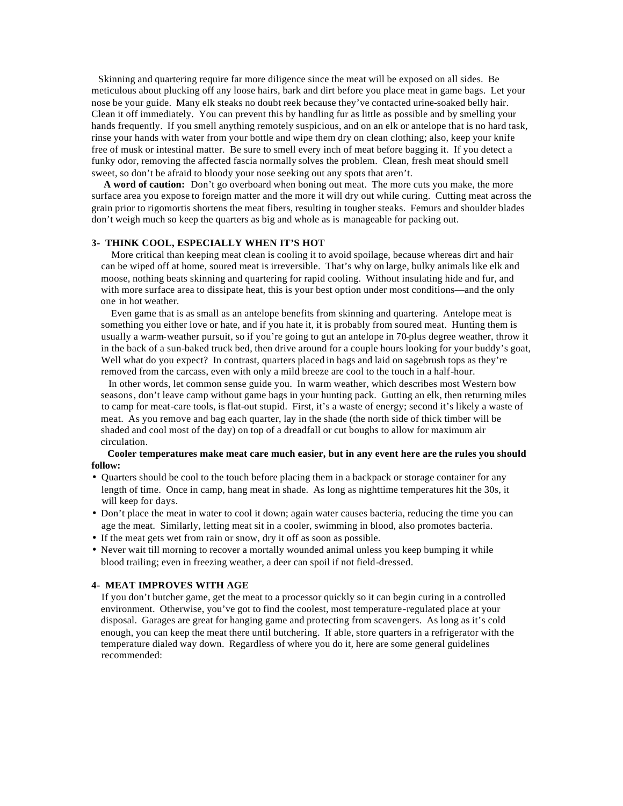Skinning and quartering require far more diligence since the meat will be exposed on all sides. Be meticulous about plucking off any loose hairs, bark and dirt before you place meat in game bags. Let your nose be your guide. Many elk steaks no doubt reek because they've contacted urine-soaked belly hair. Clean it off immediately. You can prevent this by handling fur as little as possible and by smelling your hands frequently. If you smell anything remotely suspicious, and on an elk or antelope that is no hard task, rinse your hands with water from your bottle and wipe them dry on clean clothing; also, keep your knife free of musk or intestinal matter. Be sure to smell every inch of meat before bagging it. If you detect a funky odor, removing the affected fascia normally solves the problem. Clean, fresh meat should smell sweet, so don't be afraid to bloody your nose seeking out any spots that aren't.

 **A word of caution:** Don't go overboard when boning out meat. The more cuts you make, the more surface area you expose to foreign matter and the more it will dry out while curing. Cutting meat across the grain prior to rigomortis shortens the meat fibers, resulting in tougher steaks. Femurs and shoulder blades don't weigh much so keep the quarters as big and whole as is manageable for packing out.

#### **3- THINK COOL, ESPECIALLY WHEN IT'S HOT**

More critical than keeping meat clean is cooling it to avoid spoilage, because whereas dirt and hair can be wiped off at home, soured meat is irreversible. That's why on large, bulky animals like elk and moose, nothing beats skinning and quartering for rapid cooling. Without insulating hide and fur, and with more surface area to dissipate heat, this is your best option under most conditions—and the only one in hot weather.

 Even game that is as small as an antelope benefits from skinning and quartering. Antelope meat is something you either love or hate, and if you hate it, it is probably from soured meat. Hunting them is usually a warm-weather pursuit, so if you're going to gut an antelope in 70-plus degree weather, throw it in the back of a sun-baked truck bed, then drive around for a couple hours looking for your buddy's goat, Well what do you expect? In contrast, quarters placed in bags and laid on sagebrush tops as they're removed from the carcass, even with only a mild breeze are cool to the touch in a half-hour.

 In other words, let common sense guide you. In warm weather, which describes most Western bow seasons, don't leave camp without game bags in your hunting pack. Gutting an elk, then returning miles to camp for meat-care tools, is flat-out stupid. First, it's a waste of energy; second it's likely a waste of meat. As you remove and bag each quarter, lay in the shade (the north side of thick timber will be shaded and cool most of the day) on top of a dreadfall or cut boughs to allow for maximum air circulation.

#### **Cooler temperatures make meat care much easier, but in any event here are the rules you should follow:**

- Quarters should be cool to the touch before placing them in a backpack or storage container for any length of time. Once in camp, hang meat in shade. As long as nighttime temperatures hit the 30s, it will keep for days.
- Don't place the meat in water to cool it down; again water causes bacteria, reducing the time you can age the meat. Similarly, letting meat sit in a cooler, swimming in blood, also promotes bacteria.
- If the meat gets wet from rain or snow, dry it off as soon as possible.
- Never wait till morning to recover a mortally wounded animal unless you keep bumping it while blood trailing; even in freezing weather, a deer can spoil if not field-dressed.

#### **4- MEAT IMPROVES WITH AGE**

If you don't butcher game, get the meat to a processor quickly so it can begin curing in a controlled environment. Otherwise, you've got to find the coolest, most temperature-regulated place at your disposal. Garages are great for hanging game and protecting from scavengers. As long as it's cold enough, you can keep the meat there until butchering. If able, store quarters in a refrigerator with the temperature dialed way down. Regardless of where you do it, here are some general guidelines recommended: